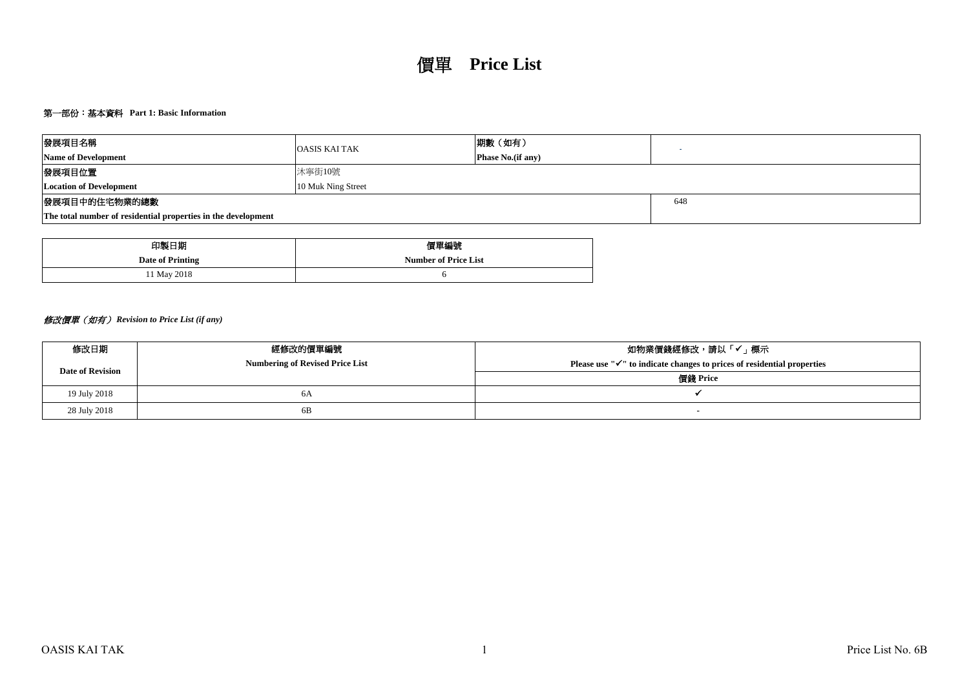## 第一部份:基本資料 **Part 1: Basic Information**

| 發展項目名稱                                                        | <b>OASIS KAI TAK</b> | 期數(如有)                    |  |
|---------------------------------------------------------------|----------------------|---------------------------|--|
| <b>Name of Development</b>                                    |                      | <b>Phase No.</b> (if any) |  |
| 發展項目位置                                                        |                      |                           |  |
| 10 Muk Ning Street<br><b>Location of Development</b>          |                      |                           |  |
| 發展項目中的住宅物業的總數                                                 |                      | 648                       |  |
| The total number of residential properties in the development |                      |                           |  |

| 印製日期             | 價單編號                        |
|------------------|-----------------------------|
| Date of Printing | <b>Number of Price List</b> |
| 11 May 2018      |                             |

# 修改價單(如有) *Revision to Price List (if any)*

| 修改日期                    | 經修改的價單編號                               | 如物業價錢經修改,請以「✔」標示                                                                    |
|-------------------------|----------------------------------------|-------------------------------------------------------------------------------------|
| <b>Date of Revision</b> | <b>Numbering of Revised Price List</b> | Please use " $\checkmark$ " to indicate changes to prices of residential properties |
|                         |                                        | 價錢 Price                                                                            |
| 19 July 2018            | 6A                                     |                                                                                     |
| 28 July 2018            | 6B                                     |                                                                                     |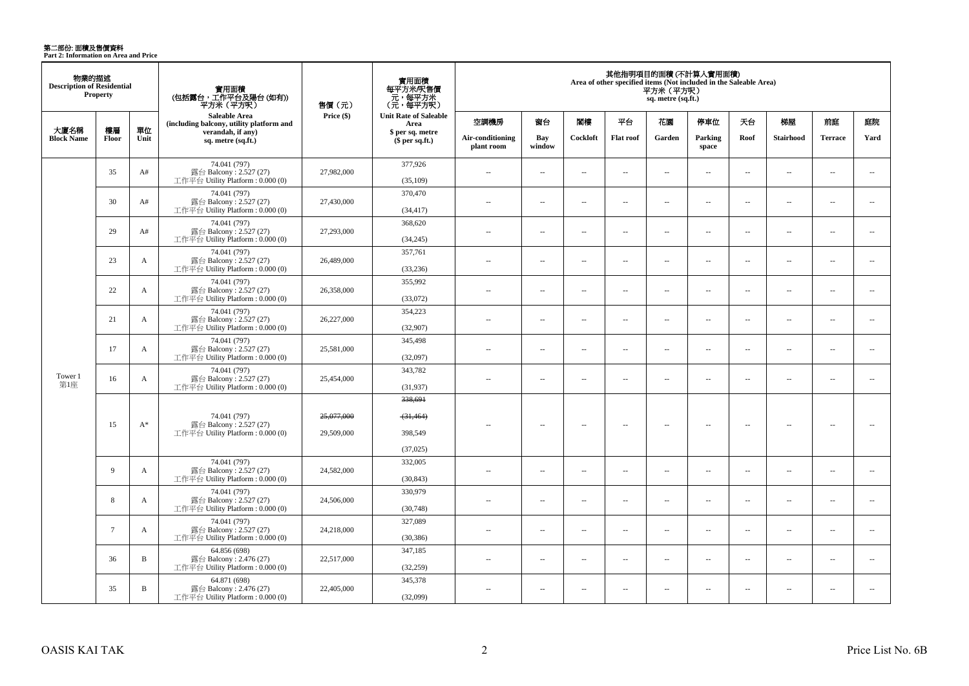**第二部份: 面積及售價資料**<br>Part 2: Information on Area and Price

| 物業的描述<br><b>Description of Residential</b> | <b>Property</b> |                                                                                 | 實用面積<br>(包括露台,工作平台及陽台 (如有))<br>平方米(平方呎)                                      | 售價 (元)                   | 實用面積<br>每平方米/呎售價<br>- 元, 每平方米<br>(元, 每平方呎)  |                                |                          |                          |                      | 平方米 (平方呎)<br>sq. metre (sq.ft.) | 其他指明項目的面積 (不計算入實用面積)<br>Area of other specified items (Not included in the Saleable Area) |                          |                  |                          |                          |
|--------------------------------------------|-----------------|---------------------------------------------------------------------------------|------------------------------------------------------------------------------|--------------------------|---------------------------------------------|--------------------------------|--------------------------|--------------------------|----------------------|---------------------------------|-------------------------------------------------------------------------------------------|--------------------------|------------------|--------------------------|--------------------------|
|                                            |                 |                                                                                 | Saleable Area<br>(including balcony, utility platform and                    | Price (\$)               | <b>Unit Rate of Saleable</b><br>Area        | 空調機房                           | 窗台                       | 閣樓                       | 平台                   | 花園                              | 停車位                                                                                       | 天台                       | 梯屋               | 前庭                       | 庭院                       |
| 大廈名稱<br><b>Block Name</b>                  | 樓層<br>Floor     | 單位<br>Unit                                                                      | verandah, if any)<br>sq. metre (sq.ft.)                                      |                          | \$ per sq. metre<br>\$per sq.ft.)           | Air-conditioning<br>plant room | Bay<br>window            | Cockloft                 | <b>Flat roof</b>     | Garden                          | Parking<br>space                                                                          | Roof                     | <b>Stairhood</b> | <b>Terrace</b>           | Yard                     |
|                                            | 35              | A#                                                                              | 74.041 (797)<br>露台 Balcony: 2.527 (27)<br>工作平台 Utility Platform: 0.000 (0)   | 27,982,000               | 377,926<br>(35,109)                         | $\sim$                         | $\sim$                   | $\sim$                   | $\sim$               | $\sim$ $\sim$                   | $\sim$                                                                                    | $\sim$                   | $\sim$           | $\overline{a}$           | $\sim$                   |
|                                            | 30              | A#                                                                              | 74.041 (797)<br>露台 Balcony: 2.527 (27)<br>工作平台 Utility Platform : 0.000 (0)  | 27,430,000               | 370,470<br>(34, 417)                        | $\sim$                         | $\overline{\phantom{a}}$ | $\sim$                   | $\overline{a}$       | $\overline{a}$                  | $\overline{\phantom{a}}$                                                                  | $\sim$                   | $\sim$           | $\overline{\phantom{a}}$ | $\sim$                   |
|                                            | 29              | A#                                                                              | 74.041 (797)<br>露台 Balcony: 2.527 (27)<br>工作平台 Utility Platform : $0.000(0)$ | 27,293,000               | 368,620<br>(34,245)                         | $\overline{a}$                 | $\overline{\phantom{a}}$ | $\sim$                   | μ.                   | μ.                              | $\overline{\phantom{a}}$                                                                  | $\overline{\phantom{a}}$ | ÷.               | $\overline{\phantom{a}}$ | $\overline{\phantom{a}}$ |
|                                            | 23              | A                                                                               | 74.041 (797)<br>露台 Balcony: 2.527 (27)<br>工作平台 Utility Platform: 0.000 (0)   | 26,489,000               | 357,761<br>(33, 236)                        | $\overline{a}$                 | ÷.                       | $\sim$                   | $\ldots$             | $\ldots$                        | $\ddot{\phantom{a}}$                                                                      | $\overline{\phantom{a}}$ | $\sim$           | ÷.                       | $\overline{\phantom{a}}$ |
|                                            | 22              | 74.041 (797)<br>露台 Balcony: 2.527 (27)<br>A<br>工作平台 Utility Platform: 0.000 (0) | 26,358,000                                                                   | 355,992<br>(33,072)      | $\sim$                                      | $\overline{a}$                 | $\sim$                   | $\sim$                   | $\sim$               | $\sim$                          | $\sim$                                                                                    | $\sim$                   | $\overline{a}$   | $\sim$                   |                          |
|                                            | 21              | $\mathbf{A}$                                                                    | 74.041 (797)<br>露台 Balcony: 2.527 (27)<br>工作平台 Utility Platform : 0.000 (0)  | 26,227,000               | 354,223<br>(32,907)                         | ÷.                             | $\sim$                   | $\sim$                   | μ.                   | Ξ.                              | $\sim$                                                                                    | ÷.                       | ÷.               | ÷.                       | $\overline{\phantom{a}}$ |
|                                            | 17              | $\mathbf{A}$                                                                    | 74.041 (797)<br>露台 Balcony: 2.527 (27)<br>工作平台 Utility Platform: 0.000 (0)   | 25,581,000               | 345,498<br>(32,097)                         | $\overline{a}$                 | ÷.                       | $\overline{\phantom{a}}$ | $\ddot{\phantom{a}}$ | $\sim$                          | $\ddot{\phantom{a}}$                                                                      | $\overline{\phantom{a}}$ | ÷.               | ÷.                       | $\overline{\phantom{a}}$ |
| Tower 1<br>第1座                             | 16              | $\mathbf{A}$                                                                    | 74.041 (797)<br>露台 Balcony: 2.527 (27)<br>工作平台 Utility Platform: 0.000 (0)   | 25,454,000               | 343,782<br>(31,937)                         | $\overline{a}$                 | $\overline{a}$           | $\sim$                   | $\overline{a}$       | $\sim$                          | $\sim$                                                                                    | $\sim$                   | $\sim$           | $\overline{a}$           | $\sim$                   |
|                                            | 15              | $A^*$                                                                           | 74.041 (797)<br>露台 Balcony: 2.527 (27)<br>工作平台 Utility Platform: 0.000 (0)   | 25,077,000<br>29,509,000 | 338,691<br>(31, 464)<br>398,549<br>(37,025) |                                | 44                       | ÷.                       | μ.                   |                                 | ÷.                                                                                        | $\overline{\phantom{a}}$ |                  | Ξ.                       |                          |
|                                            | 9               | A                                                                               | 74.041 (797)<br>露台 Balcony: 2.527 (27)<br>工作平台 Utility Platform : 0.000 (0)  | 24,582,000               | 332,005<br>(30, 843)                        | $\sim$                         | $\overline{\phantom{a}}$ | $\sim$                   | $\sim$               | $\sim$                          | $\overline{\phantom{a}}$                                                                  | $\overline{\phantom{a}}$ | $\sim$           | $\overline{a}$           | $\overline{\phantom{a}}$ |
|                                            | 8               | A                                                                               | 74.041 (797)<br>露台 Balcony: 2.527 (27)<br>工作平台 Utility Platform: 0.000 (0)   | 24,506,000               | 330,979<br>(30,748)                         | $\sim$                         | $\sim$                   | $\sim$                   | μ.                   | $\sim$                          | $\sim$                                                                                    | $\overline{\phantom{a}}$ | ÷.               | $\sim$                   | $\overline{\phantom{a}}$ |
|                                            | $7\phantom{.0}$ | $\mathbf{A}$                                                                    | 74.041 (797)<br>露台 Balcony: 2.527 (27)<br>工作平台 Utility Platform : 0.000 (0)  | 24,218,000               | 327,089<br>(30, 386)                        | 44                             | $\sim$                   | $\sim$                   | μ.                   | μ.                              | $\sim$                                                                                    | $\overline{\phantom{a}}$ | ÷.               | $\sim$                   | $\sim$                   |
|                                            | 36              | $\, {\bf B}$                                                                    | 64.856 (698)<br>露台 Balcony: 2.476 (27)<br>工作平台 Utility Platform: 0.000 (0)   | 22,517,000               | 347,185<br>(32,259)                         | $\overline{a}$                 | $\overline{\phantom{a}}$ | $\sim$                   | $\overline{a}$       | $\overline{\phantom{a}}$        | $\overline{\phantom{a}}$                                                                  | $\overline{\phantom{a}}$ | $\sim$           | $\overline{\phantom{a}}$ | $\overline{\phantom{a}}$ |
|                                            | 35              | $\, {\bf B}$                                                                    | 64.871 (698)<br>露台 Balcony: $2.476(27)$<br>工作平台 Utility Platform: 0.000 (0)  | 22,405,000               | 345,378<br>(32,099)                         | $\sim$                         | $\sim$                   | $\sim$                   | $\sim$               | $\sim$                          | $\sim$                                                                                    | $\overline{\phantom{a}}$ | $\sim$           | $\sim$                   | $\sim$                   |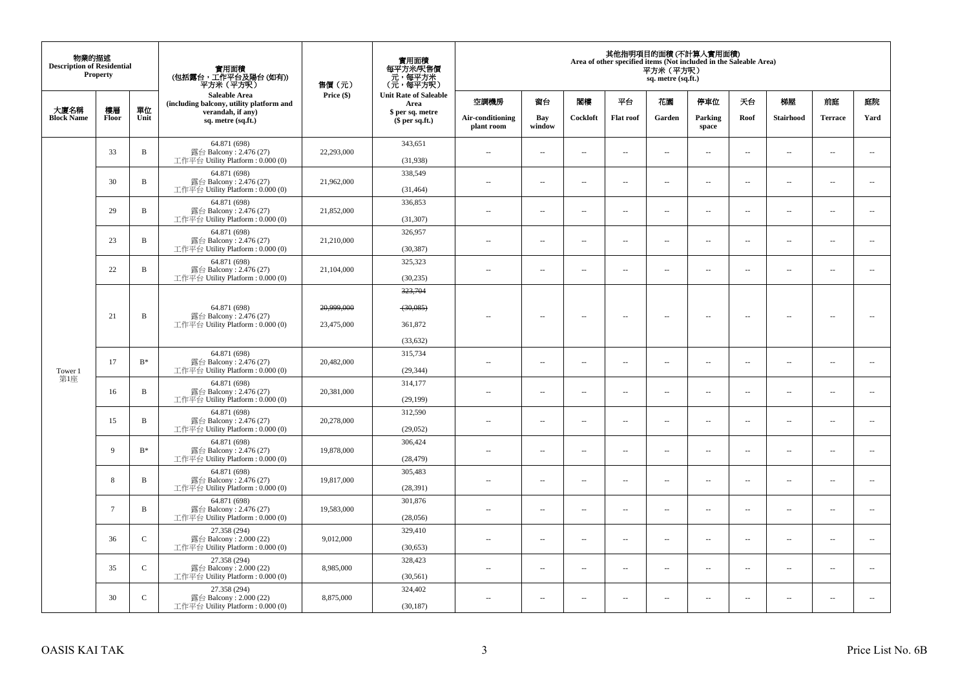| 物業的描述<br><b>Description of Residential</b> | Property               |                                                                            | 實用面積<br>(包括露台,工作平台及陽台(如有))<br>平方米(平方呎)                                     | 售價(元)                    | 實用面積<br>每平方米/呎售價<br>- 元, 每平方米<br>(元, 每平方呎)  |                          |                          |                          |                          | 平方米(平方呎)<br>sq. metre (sq.ft.) | 其他指明項目的面積 (不計算入實用面積)<br>Area of other specified items (Not included in the Saleable Area) |                                     |                                |                          |                          |                  |        |                  |      |           |                |      |
|--------------------------------------------|------------------------|----------------------------------------------------------------------------|----------------------------------------------------------------------------|--------------------------|---------------------------------------------|--------------------------|--------------------------|--------------------------|--------------------------|--------------------------------|-------------------------------------------------------------------------------------------|-------------------------------------|--------------------------------|--------------------------|--------------------------|------------------|--------|------------------|------|-----------|----------------|------|
|                                            |                        |                                                                            | Saleable Area<br>(including balcony, utility platform and                  | Price (\$)               | <b>Unit Rate of Saleable</b><br>Area        | 空調機房                     | 窗台                       | 閣樓                       | 平台                       | 花園                             | 停車位                                                                                       | 天台                                  | 梯屋                             | 前庭                       | 庭院                       |                  |        |                  |      |           |                |      |
| 大廈名稱<br><b>Block Name</b>                  | 樓層<br>Floor            | 單位<br>Unit                                                                 | verandah, if any)<br>sq. metre (sq.ft.)                                    |                          |                                             |                          |                          |                          |                          |                                |                                                                                           | \$ per sq. metre<br>$$$ per sq.ft.) | Air-conditioning<br>plant room | Bay<br>window            | Cockloft                 | <b>Flat</b> roof | Garden | Parking<br>space | Roof | Stairhood | <b>Terrace</b> | Yard |
|                                            | 33                     | $\, {\bf B}$                                                               | 64.871 (698)<br>露台 Balcony: 2.476 (27)<br>工作平台 Utility Platform: 0.000 (0) | 22,293,000               | 343,651<br>(31,938)                         | $\sim$                   | $\overline{\phantom{a}}$ | $\sim$                   | $\sim$                   | $\overline{a}$                 | $\sim$                                                                                    | $\sim$                              | $\overline{\phantom{a}}$       | $\sim$                   | $\overline{\phantom{a}}$ |                  |        |                  |      |           |                |      |
|                                            | 30                     | $\, {\bf B}$                                                               | 64.871 (698)<br>露台 Balcony: 2.476 (27)<br>工作平台 Utility Platform: 0.000 (0) | 21,962,000               | 338,549<br>(31, 464)                        | $\sim$                   | $\overline{\phantom{a}}$ | $\sim$                   | $\sim$                   | $\overline{\phantom{a}}$       | $\sim$                                                                                    | $\overline{\phantom{a}}$            | $\overline{\phantom{a}}$       | $\sim$                   | $\overline{\phantom{a}}$ |                  |        |                  |      |           |                |      |
|                                            | 29                     | $\, {\bf B}$                                                               | 64.871 (698)<br>露台 Balcony: 2.476 (27)<br>工作平台 Utility Platform: 0.000 (0) | 21,852,000               | 336,853<br>(31, 307)                        | $\sim$                   | $\sim$                   | $\sim$                   | $\sim$                   | $\sim$ $\sim$                  | $\sim$                                                                                    | $\overline{\phantom{a}}$            | $\sim$                         | $\sim$                   | $\sim$                   |                  |        |                  |      |           |                |      |
|                                            | 23                     | $\, {\bf B}$                                                               | 64.871 (698)<br>露台 Balcony: 2.476 (27)<br>工作平台 Utility Platform: 0.000 (0) | 21,210,000               | 326,957<br>(30, 387)                        | 44                       | $\overline{\phantom{a}}$ | $\sim$                   | μ.                       | $\overline{\phantom{a}}$       | $\sim$                                                                                    | $\overline{\phantom{a}}$            | $\overline{\phantom{a}}$       | $\ddot{\phantom{a}}$     | $\sim$                   |                  |        |                  |      |           |                |      |
|                                            | 22                     | $\, {\bf B}$                                                               | 64.871 (698)<br>露台 Balcony: 2.476 (27)<br>工作平台 Utility Platform: 0.000 (0) | 21,104,000               | 325,323<br>(30, 235)                        | $\overline{\phantom{a}}$ | $\overline{\phantom{a}}$ | $\sim$                   | $\overline{\phantom{a}}$ | $\overline{\phantom{a}}$       | $\overline{\phantom{a}}$                                                                  | $\sim$                              | $\overline{\phantom{a}}$       | $\overline{\phantom{a}}$ | $\overline{\phantom{a}}$ |                  |        |                  |      |           |                |      |
| Tower 1                                    | 21                     | $\, {\bf B}$                                                               | 64.871 (698)<br>露台 Balcony: 2.476 (27)<br>工作平台 Utility Platform: 0.000 (0) | 20,999,000<br>23,475,000 | 323,704<br>(30,085)<br>361,872<br>(33, 632) |                          | $\sim$                   | $\overline{\phantom{a}}$ | $\sim$                   | $\sim$                         | $\sim$                                                                                    | $\overline{\phantom{a}}$            | $\overline{a}$                 | $\sim$                   |                          |                  |        |                  |      |           |                |      |
|                                            | 17                     | $\mathbf{B}^*$                                                             | 64.871 (698)<br>露台 Balcony: 2.476 (27)<br>工作平台 Utility Platform: 0.000 (0) | 20,482,000               | 315,734<br>(29, 344)                        | $\sim$                   | $\sim$                   | $\sim$                   | $\sim$                   | $\sim$ $\sim$                  | $\overline{\phantom{a}}$                                                                  | $\overline{\phantom{a}}$            | $\overline{\phantom{a}}$       | $\overline{\phantom{a}}$ | $\sim$                   |                  |        |                  |      |           |                |      |
| 第1座                                        | 16                     | $\, {\bf B}$                                                               | 64.871 (698)<br>露台 Balcony: 2.476 (27)<br>工作平台 Utility Platform: 0.000 (0) | 20,381,000               | 314,177<br>(29, 199)                        | ÷.                       | μ.                       | $\sim$                   | μ.                       | $\sim$                         | $\sim$                                                                                    | $\overline{\phantom{a}}$            | Ξ.                             | $\ddot{\phantom{a}}$     | $\sim$                   |                  |        |                  |      |           |                |      |
|                                            | 15                     | $\, {\bf B}$                                                               | 64.871 (698)<br>露台 Balcony: 2.476 (27)<br>工作平台 Utility Platform: 0.000 (0) | 20,278,000               | 312,590<br>(29,052)                         | $\overline{\phantom{a}}$ | $\overline{\phantom{a}}$ | $\sim$                   | $\overline{\phantom{a}}$ | $\overline{\phantom{a}}$       | $\sim$                                                                                    | $\overline{\phantom{a}}$            | $\overline{\phantom{a}}$       | $\ddot{\phantom{a}}$     | $\overline{\phantom{a}}$ |                  |        |                  |      |           |                |      |
|                                            | 9                      | $B^*$                                                                      | 64.871 (698)<br>露台 Balcony: 2.476 (27)<br>工作平台 Utility Platform: 0.000 (0) | 19,878,000               | 306,424<br>(28, 479)                        | ÷.                       | $\overline{\phantom{a}}$ | $\sim$                   | μ.                       | $\sim$                         | $\sim$                                                                                    | $\overline{\phantom{a}}$            | Ξ.                             | $\ddot{\phantom{a}}$     | $\overline{\phantom{a}}$ |                  |        |                  |      |           |                |      |
|                                            | 8                      | B                                                                          | 64.871 (698)<br>露台 Balcony: 2.476 (27)<br>工作平台 Utility Platform: 0.000 (0) | 19,817,000               | 305,483<br>(28, 391)                        | $\overline{\phantom{a}}$ | $\overline{\phantom{a}}$ | $\sim$                   | μ.                       | $\overline{\phantom{a}}$       | $\sim$                                                                                    | $\overline{\phantom{a}}$            | $\overline{\phantom{a}}$       | $\sim$                   | $\overline{\phantom{a}}$ |                  |        |                  |      |           |                |      |
|                                            | $\tau$<br>$\, {\bf B}$ | 64.871 (698)<br>露台 Balcony: 2.476 (27)<br>工作平台 Utility Platform: 0.000 (0) | 19,583,000                                                                 | 301,876<br>(28,056)      | $\sim$                                      | $\sim$                   | $\sim$                   | $\sim$                   | $\sim$ $\sim$            | $\sim$                         | $\overline{\phantom{a}}$                                                                  | $\sim$                              | $\sim$                         | $\sim$                   |                          |                  |        |                  |      |           |                |      |
|                                            | 36                     | $\mathcal{C}$                                                              | 27.358 (294)<br>露台 Balcony: 2.000 (22)<br>工作平台 Utility Platform: 0.000 (0) | 9,012,000                | 329,410<br>(30, 653)                        | ÷.                       | $\overline{\phantom{a}}$ | $\sim$                   | μ.                       | $\overline{\phantom{a}}$       | $\sim$                                                                                    | $\overline{\phantom{a}}$            | Ξ.                             | $\ddot{\phantom{a}}$     | $\sim$                   |                  |        |                  |      |           |                |      |
|                                            | 35                     | $\mathsf{C}$                                                               | 27.358 (294)<br>露台 Balcony: 2.000 (22)<br>工作平台 Utility Platform: 0.000 (0) | 8,985,000                | 328,423<br>(30, 561)                        | $\sim$                   | $\sim$                   | $\sim$                   | $\sim$                   | $\sim$ $\sim$                  | $\overline{\phantom{a}}$                                                                  | $\overline{\phantom{a}}$            | $\overline{\phantom{a}}$       | $\overline{\phantom{a}}$ | $\sim$                   |                  |        |                  |      |           |                |      |
|                                            | 30                     | $\mathsf{C}$                                                               | 27.358 (294)<br>露台 Balcony: 2.000 (22)<br>工作平台 Utility Platform: 0.000 (0) | 8,875,000                | 324,402<br>(30, 187)                        | $\overline{\phantom{a}}$ | $\overline{\phantom{a}}$ | $\overline{\phantom{a}}$ | $\overline{a}$           | $\overline{\phantom{a}}$       | $\sim$                                                                                    | $\overline{\phantom{a}}$            | $\overline{\phantom{a}}$       | $\overline{a}$           | $\sim$                   |                  |        |                  |      |           |                |      |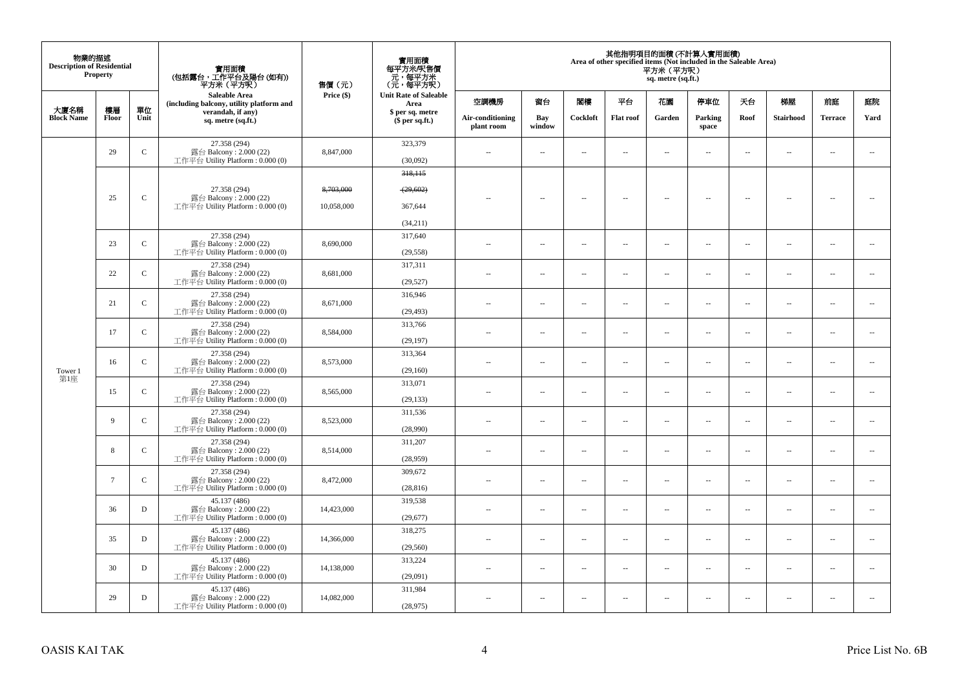| 物業的描述<br><b>Description of Residential</b> | <b>Property</b>    |              | 實用面積<br>(包括露台,工作平台及陽台(如有))<br>平方米 (平方呎)                                    | 售價(元)      | 實用面積<br>每平方米/呎售價<br>- 元, 每平方米<br>(元, 每平方呎) |                          |                          |                          |                                     | 平方米(平方呎)<br>sq. metre (sq.ft.) | 其他指明項目的面積 (不計算入實用面積)<br>Area of other specified items (Not included in the Saleable Area) |                          |                          |                          |                          |      |                  |                |      |
|--------------------------------------------|--------------------|--------------|----------------------------------------------------------------------------|------------|--------------------------------------------|--------------------------|--------------------------|--------------------------|-------------------------------------|--------------------------------|-------------------------------------------------------------------------------------------|--------------------------|--------------------------|--------------------------|--------------------------|------|------------------|----------------|------|
|                                            |                    |              | Saleable Area<br>(including balcony, utility platform and                  | Price (\$) | <b>Unit Rate of Saleable</b><br>Area       | 空調機房                     | 窗台                       | 閣樓                       | 平台                                  | 花園                             | 停車位                                                                                       | 天台                       | 梯屋                       | 前庭                       | 庭院                       |      |                  |                |      |
| 大廈名稱<br><b>Block Name</b>                  | 樓層<br><b>Floor</b> | 單位<br>Unit   | verandah, if any)<br>sq. metre (sq.ft.)                                    |            |                                            |                          |                          |                          | \$ per sq. metre<br>$$$ per sq.ft.) | Air-conditioning<br>plant room | Bay<br>window                                                                             | Cockloft                 | <b>Flat roof</b>         | Garden                   | Parking<br>${\bf space}$ | Roof | <b>Stairhood</b> | <b>Terrace</b> | Yard |
|                                            | 29                 | $\mathsf{C}$ | 27.358 (294)<br>露台 Balcony: 2.000 (22)<br>工作平台 Utility Platform: 0.000 (0) | 8,847,000  | 323,379<br>(30,092)                        | $\sim$                   | $\sim$                   | $\sim$                   | $\sim$                              | $\sim$                         | $\sim$                                                                                    | $\sim$                   | $\sim$                   | $\sim$                   | $\sim$                   |      |                  |                |      |
|                                            |                    |              |                                                                            |            | 318,115                                    |                          |                          |                          |                                     |                                |                                                                                           |                          |                          |                          |                          |      |                  |                |      |
|                                            | 25                 | $\mathsf C$  | 27.358 (294)<br>露台 Balcony: 2.000 (22)                                     | 8,703,000  | (29, 602)                                  |                          | $\overline{a}$           | 4                        | $\overline{\phantom{a}}$            | $\overline{\phantom{a}}$       | 4                                                                                         | $\overline{\phantom{a}}$ | 44                       | $\sim$                   | $\sim$                   |      |                  |                |      |
|                                            |                    |              | 工作平台 Utility Platform: 0.000 (0)                                           | 10,058,000 | 367,644                                    |                          |                          |                          |                                     |                                |                                                                                           |                          |                          |                          |                          |      |                  |                |      |
|                                            |                    |              |                                                                            |            | (34,211)                                   |                          |                          |                          |                                     |                                |                                                                                           |                          |                          |                          |                          |      |                  |                |      |
|                                            | 23                 | $\mathsf{C}$ | 27.358 (294)<br>露台 Balcony: 2.000 (22)                                     | 8,690,000  | 317,640                                    | $\sim$                   | $\overline{\phantom{a}}$ | $\sim$                   | $\overline{\phantom{a}}$            | $\sim$                         | $\sim$                                                                                    | $\overline{\phantom{a}}$ | $\overline{\phantom{a}}$ | $\bar{a}$                | $\sim$                   |      |                  |                |      |
|                                            |                    |              | 工作平台 Utility Platform: 0.000 (0)                                           |            | (29, 558)                                  |                          |                          |                          |                                     |                                |                                                                                           |                          |                          |                          |                          |      |                  |                |      |
|                                            | 22                 | $\mathsf{C}$ | 27.358 (294)<br>露台 Balcony: 2.000 (22)                                     | 8,681,000  | 317,311                                    | $\sim$                   | $\sim$                   | $\sim$                   | $\sim$                              | $\sim$                         | $\sim$                                                                                    | $\ddotsc$                | $\sim$                   | $\sim$                   | $\ddotsc$                |      |                  |                |      |
|                                            |                    |              | 工作平台 Utility Platform: 0.000 (0)                                           |            | (29, 527)                                  |                          |                          |                          |                                     |                                |                                                                                           |                          |                          |                          |                          |      |                  |                |      |
|                                            | 21                 | $\mathsf{C}$ | 27.358 (294)<br>露台 Balcony: 2.000 (22)<br>工作平台 Utility Platform: 0.000 (0) | 8,671,000  | 316,946<br>(29, 493)                       | ц,                       | $\overline{\phantom{a}}$ | $\sim$                   | $\overline{\phantom{a}}$            | $\overline{\phantom{a}}$       | $\sim$                                                                                    | $\overline{\phantom{a}}$ | $\overline{\phantom{a}}$ | $\sim$                   | $\sim$                   |      |                  |                |      |
|                                            |                    |              | 27.358 (294)                                                               |            | 313,766                                    |                          |                          |                          |                                     |                                |                                                                                           |                          |                          |                          |                          |      |                  |                |      |
|                                            | 17                 | $\mathsf{C}$ | 露台 Balcony: 2.000 (22)<br>工作平台 Utility Platform: 0.000 (0)                 | 8,584,000  | (29, 197)                                  | $\sim$                   | $\overline{\phantom{a}}$ | $\sim$                   | $\overline{\phantom{a}}$            | $\overline{\phantom{a}}$       | $\sim$                                                                                    | $\sim$                   | $\overline{\phantom{a}}$ | $\overline{\phantom{a}}$ | $\sim$                   |      |                  |                |      |
|                                            | 16                 | $\mathsf{C}$ | 27.358 (294)<br>露台 Balcony: 2.000 (22)                                     | 8,573,000  | 313,364                                    | ×.                       | $\sim$                   | $\sim$                   | $\sim$                              | $\sim$                         | $\sim$                                                                                    | $\sim$                   | $\sim$                   | <b>A</b>                 | $\sim$                   |      |                  |                |      |
| Tower 1                                    |                    |              | 工作平台 Utility Platform: 0.000 (0)                                           |            | (29,160)                                   |                          |                          |                          |                                     |                                |                                                                                           |                          |                          |                          |                          |      |                  |                |      |
| 第1座                                        | 15                 | $\mathbf{C}$ | 27.358 (294)<br>露台 Balcony: 2.000 (22)<br>工作平台 Utility Platform: 0.000 (0) | 8,565,000  | 313,071<br>(29, 133)                       | $\sim$                   | $\overline{\phantom{a}}$ | $\sim$                   | $\overline{\phantom{a}}$            | $\overline{\phantom{a}}$       | $\sim$                                                                                    | $\overline{\phantom{a}}$ | $\sim$                   | $\sim$                   | $\sim$                   |      |                  |                |      |
|                                            |                    |              | 27.358 (294)                                                               |            | 311,536                                    |                          |                          |                          |                                     |                                |                                                                                           |                          |                          |                          |                          |      |                  |                |      |
|                                            | 9                  | $\mathsf{C}$ | 露台 Balcony: 2.000 (22)<br>工作平台 Utility Platform: 0.000 (0)                 | 8,523,000  | (28,990)                                   | $\overline{\phantom{a}}$ | $\overline{\phantom{a}}$ | $\sim$                   | $\overline{\phantom{a}}$            | $\overline{\phantom{a}}$       | $\sim$                                                                                    | $\overline{\phantom{a}}$ | $\overline{\phantom{a}}$ | $\sim$                   | $\overline{\phantom{a}}$ |      |                  |                |      |
|                                            |                    |              | 27.358 (294)                                                               |            | 311,207                                    |                          |                          |                          |                                     |                                |                                                                                           |                          |                          |                          |                          |      |                  |                |      |
|                                            | 8                  | $\mathbf{C}$ | 露台 Balcony: 2.000 (22)<br>工作平台 Utility Platform: 0.000 (0)                 | 8,514,000  | (28,959)                                   | ÷.                       | $\overline{\phantom{a}}$ | $\sim$                   | $\sim$                              | $\overline{a}$                 | $\sim$                                                                                    | $\overline{\phantom{a}}$ | $\overline{\phantom{a}}$ | $\sim$                   | $\sim$                   |      |                  |                |      |
|                                            |                    | $\mathbf{C}$ | 27.358 (294)                                                               |            | 309,672                                    |                          |                          |                          |                                     |                                |                                                                                           |                          |                          |                          |                          |      |                  |                |      |
|                                            | $7\phantom{.0}$    |              | 露台 Balcony: 2.000 (22)<br>工作平台 Utility Platform: 0.000 (0)                 | 8,472,000  | (28, 816)                                  | $\sim$                   | $\overline{\phantom{a}}$ | $\sim$                   | $\overline{\phantom{a}}$            | $\overline{\phantom{a}}$       | $\sim$                                                                                    | $\overline{\phantom{a}}$ | $\overline{\phantom{a}}$ | $\sim$                   | $\overline{\phantom{a}}$ |      |                  |                |      |
|                                            | 36                 | D            | 45.137 (486)<br>露台 Balcony: 2.000 (22)                                     | 14,423,000 | 319,538                                    | $\sim$                   | $\sim$                   | $\sim$                   | $\sim$                              | $\sim$                         | $\sim$                                                                                    | $\sim$                   | $\sim$                   | $\sim$                   | $\sim$                   |      |                  |                |      |
|                                            |                    |              | 工作平台 Utility Platform: 0.000 (0)                                           |            | (29, 677)                                  |                          |                          |                          |                                     |                                |                                                                                           |                          |                          |                          |                          |      |                  |                |      |
|                                            | 35                 | D            | 45.137 (486)<br>露台 Balcony: 2.000 (22)                                     | 14,366,000 | 318,275                                    |                          | $\overline{\phantom{a}}$ | $\sim$                   | $\sim$                              | $\overline{\phantom{a}}$       | $\sim$                                                                                    | $\overline{\phantom{a}}$ | $\overline{\phantom{a}}$ | $\bar{a}$                | $\sim$                   |      |                  |                |      |
|                                            |                    |              | 工作平台 Utility Platform: 0.000 (0)                                           |            | (29, 560)                                  |                          |                          |                          |                                     |                                |                                                                                           |                          |                          |                          |                          |      |                  |                |      |
|                                            | 30                 | D            | 45.137 (486)<br>露台 Balcony: 2.000 (22)                                     | 14,138,000 | 313,224                                    | $\sim$                   | $\sim$                   | $\sim$                   | $\sim$                              | $\sim$                         | $\sim$                                                                                    | $\sim$                   | $\overline{\phantom{a}}$ | $\overline{\phantom{a}}$ | $\sim$                   |      |                  |                |      |
|                                            |                    |              | 工作平台 Utility Platform: 0.000 (0)                                           |            | (29,091)                                   |                          |                          |                          |                                     |                                |                                                                                           |                          |                          |                          |                          |      |                  |                |      |
|                                            | 29                 | $\mathbf D$  | 45.137 (486)<br>露台 Balcony: 2.000 (22)                                     | 14,082,000 | 311,984                                    | $\sim$                   | $\overline{\phantom{a}}$ | $\overline{\phantom{a}}$ | $\overline{\phantom{a}}$            | --                             | $\sim$                                                                                    | $\overline{\phantom{a}}$ | $\overline{\phantom{a}}$ | $\sim$                   | $\sim$                   |      |                  |                |      |
|                                            |                    |              | 工作平台 Utility Platform: 0.000 (0)                                           |            | (28,975)                                   |                          |                          |                          |                                     |                                |                                                                                           |                          |                          |                          |                          |      |                  |                |      |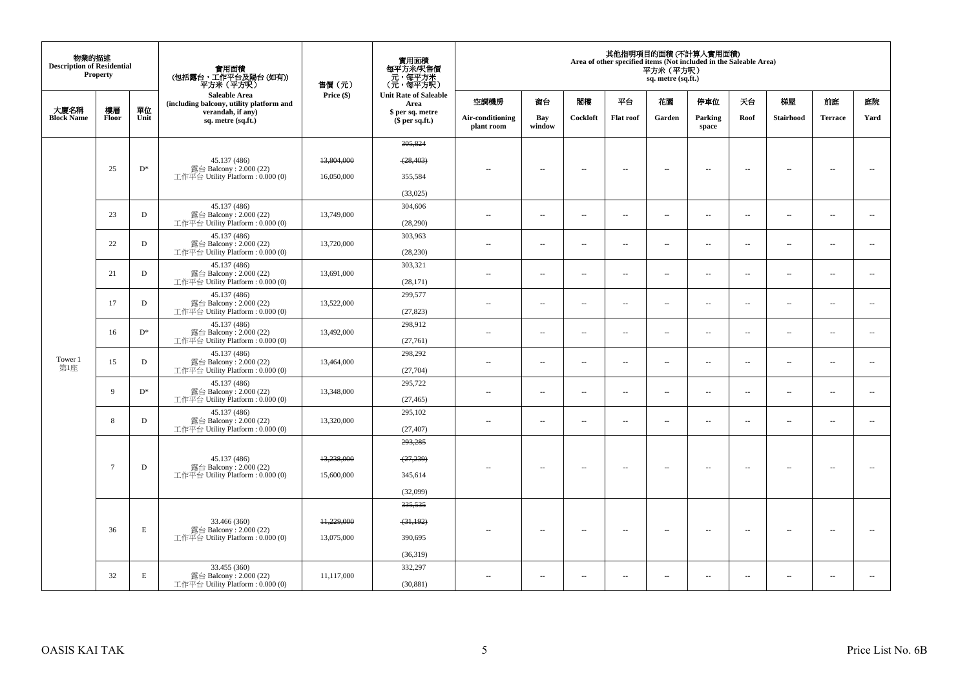| 物業的描述<br><b>Description of Residential</b> | <b>Property</b> |                                    | 實用面積<br>(包括露台,工作平台及陽台(如有))<br>平方米(平方呎)                       | 售價(元)      | 實用面積<br>每平方米/呎售價<br>ー・カバント<br>(元・每平方米)<br>(元・每平方呎) |                                |                          |                          |                          | 平方米 (平方呎)<br>sq. metre (sq.ft.) | 其他指明項目的面積 (不計算入實用面積)<br>Area of other specified items (Not included in the Saleable Area) |                          |                          |                          |                          |
|--------------------------------------------|-----------------|------------------------------------|--------------------------------------------------------------|------------|----------------------------------------------------|--------------------------------|--------------------------|--------------------------|--------------------------|---------------------------------|-------------------------------------------------------------------------------------------|--------------------------|--------------------------|--------------------------|--------------------------|
|                                            |                 |                                    | Saleable Area<br>(including balcony, utility platform and    | Price (\$) | <b>Unit Rate of Saleable</b><br>Area               | 空調機房                           | 窗台                       | 関樓                       | 平台                       | 花園                              | 停車位                                                                                       | 夭台                       | 梯屋                       | 前庭                       | 庭院                       |
| 大廈名稱<br><b>Block Name</b>                  | 樓層<br>Floor     | 單位<br>Unit                         | verandah, if any)<br>sq. metre (sq.ft.)                      |            | \$ per sq. metre<br>$$$ per sq.ft.)                | Air-conditioning<br>plant room | Bay<br>window            | Cockloft                 | <b>Flat roof</b>         | Garden                          | Parking<br>space                                                                          | Roof                     | Stairhood                | <b>Terrace</b>           | Yard                     |
|                                            |                 |                                    |                                                              |            | 305,824                                            |                                |                          |                          |                          |                                 |                                                                                           |                          |                          |                          |                          |
|                                            |                 |                                    | 45.137 (486)                                                 | 13,804,000 | (28, 403)                                          |                                |                          |                          |                          |                                 |                                                                                           |                          |                          |                          |                          |
|                                            | 25              | $D^*$                              | 露台 Balcony: 2.000 (22)<br>工作平台 Utility Platform : $0.000(0)$ | 16,050,000 | 355,584                                            | $\sim$ $-$                     | $\overline{\phantom{a}}$ | $\overline{\phantom{a}}$ | $\overline{\phantom{a}}$ | $\overline{\phantom{a}}$        | $\overline{\phantom{a}}$                                                                  | $\overline{\phantom{a}}$ | $\overline{\phantom{a}}$ | $\overline{\phantom{a}}$ | $\overline{\phantom{a}}$ |
|                                            |                 |                                    |                                                              |            | (33,025)                                           |                                |                          |                          |                          |                                 |                                                                                           |                          |                          |                          |                          |
|                                            |                 |                                    | 45.137 (486)                                                 |            | 304,606                                            |                                |                          |                          |                          |                                 |                                                                                           |                          |                          |                          |                          |
|                                            | 23              | D                                  | 露台 Balcony: 2.000 (22)<br>工作平台 Utility Platform : $0.000(0)$ | 13,749,000 | (28, 290)                                          | $\sim$                         | $\sim$                   | $\sim$                   | $\sim$                   | μ.                              | $\sim$                                                                                    | $\overline{\phantom{a}}$ | $\overline{\phantom{a}}$ | $\bar{a}$                | $\overline{\phantom{a}}$ |
|                                            | 22              | D                                  | 45.137 (486)<br>露台 Balcony: 2.000 (22)                       | 13,720,000 | 303,963                                            |                                |                          |                          |                          |                                 |                                                                                           |                          |                          |                          |                          |
|                                            |                 | 工作平台 Utility Platform : $0.000(0)$ |                                                              | (28, 230)  | $\sim$                                             | $\sim$                         | $\sim$                   | $\ldots$                 | $\overline{\phantom{a}}$ | $\sim$                          | $\overline{\phantom{a}}$                                                                  | $\overline{\phantom{a}}$ | $\sim$                   | $\overline{\phantom{a}}$ |                          |
|                                            | 21              | D                                  | 45.137 (486)<br>露台 Balcony: 2.000 (22)                       | 13,691,000 | 303,321                                            | $\sim$                         | $\sim$                   | $\sim$                   | $\overline{\phantom{a}}$ | $\overline{\phantom{a}}$        | $\overline{\phantom{a}}$                                                                  | $\overline{\phantom{a}}$ | $\overline{\phantom{a}}$ | $\sim$                   | $\sim$                   |
|                                            |                 |                                    | 工作平台 Utility Platform : $0.000(0)$                           |            | (28, 171)                                          |                                |                          |                          |                          |                                 |                                                                                           |                          |                          |                          |                          |
|                                            | 17              | D                                  | 45.137 (486)<br>露台 Balcony: 2.000 (22)                       | 13,522,000 | 299,577                                            | $\sim$                         | $\sim$                   | $\sim$                   | $\overline{\phantom{a}}$ | $\sim$                          | $\overline{\phantom{a}}$                                                                  | $\overline{\phantom{a}}$ | $\overline{\phantom{a}}$ | $\sim$                   | $\sim$                   |
|                                            |                 |                                    | 工作平台 Utility Platform: 0.000 (0)                             |            | (27, 823)                                          |                                |                          |                          |                          |                                 |                                                                                           |                          |                          |                          |                          |
|                                            | 16              | $D^*$                              | 45.137 (486)<br>露台 Balcony: 2.000 (22)                       | 13,492,000 | 298,912                                            | $\sim$                         | $\sim$                   | $\sim$                   | $\sim$                   | $\overline{\phantom{a}}$        | $\sim$                                                                                    | $\overline{\phantom{a}}$ | $\overline{\phantom{a}}$ | $\sim$                   | $\overline{\phantom{a}}$ |
|                                            |                 |                                    | 工作平台 Utility Platform : $0.000(0)$                           |            | (27,761)                                           |                                |                          |                          |                          |                                 |                                                                                           |                          |                          |                          |                          |
| Tower 1                                    | 15              | D                                  | 45.137 (486)<br>露台 Balcony: 2.000 (22)                       | 13,464,000 | 298,292                                            | $\sim$                         | $\sim$                   | $\sim$                   | $\ldots$                 | $\ldots$                        | $\sim$                                                                                    | $\overline{\phantom{a}}$ | $\overline{\phantom{a}}$ | $\sim$                   | $\overline{\phantom{a}}$ |
| 第1座                                        |                 |                                    | 工作平台 Utility Platform : $0.000(0)$                           |            | (27,704)                                           |                                |                          |                          |                          |                                 |                                                                                           |                          |                          |                          |                          |
|                                            | 9               | $D^*$                              | 45.137 (486)<br>露台 Balcony: 2.000 (22)                       | 13,348,000 | 295,722                                            | $\sim$                         | $\overline{\phantom{a}}$ | $\sim$                   | $\ldots$                 | $\ldots$                        | $\sim$                                                                                    | $\overline{\phantom{a}}$ | $\overline{\phantom{a}}$ | $\sim$                   | $\overline{\phantom{a}}$ |
|                                            |                 |                                    | 工作平台 Utility Platform: 0.000 (0)                             |            | (27, 465)                                          |                                |                          |                          |                          |                                 |                                                                                           |                          |                          |                          |                          |
|                                            | 8               | D                                  | 45.137 (486)<br>露台 Balcony: 2.000 (22)                       | 13,320,000 | 295,102                                            | $\sim$                         | $\sim$                   | $\sim$                   | $\overline{\phantom{a}}$ | $\sim$                          | $\sim$                                                                                    | $\overline{\phantom{a}}$ | $\overline{\phantom{a}}$ | $\sim$                   | $\overline{\phantom{a}}$ |
|                                            |                 |                                    | 工作平台 Utility Platform : $0.000(0)$                           |            | (27, 407)<br>293,285                               |                                |                          |                          |                          |                                 |                                                                                           |                          |                          |                          |                          |
|                                            |                 |                                    |                                                              |            |                                                    |                                |                          |                          |                          |                                 |                                                                                           |                          |                          |                          |                          |
|                                            | $7\overline{ }$ | D                                  | 45.137 (486)<br>露台 Balcony: 2.000 (22)                       | 13,238,000 | (27, 239)                                          | $-$                            | $\overline{\phantom{a}}$ | $\sim$                   | $\overline{\phantom{a}}$ | $\overline{\phantom{a}}$        | $\sim$                                                                                    | $\sim$                   | $\overline{\phantom{a}}$ | $\sim$                   | $\sim$                   |
|                                            |                 |                                    | 工作平台 Utility Platform : $0.000(0)$                           | 15,600,000 | 345,614                                            |                                |                          |                          |                          |                                 |                                                                                           |                          |                          |                          |                          |
|                                            |                 |                                    |                                                              |            | (32,099)                                           |                                |                          |                          |                          |                                 |                                                                                           |                          |                          |                          |                          |
|                                            |                 |                                    |                                                              |            | 335,535                                            |                                |                          |                          |                          |                                 |                                                                                           |                          |                          |                          |                          |
|                                            | 36              | E                                  | 33.466 (360)<br>露台 Balcony: 2.000 (22)                       | 11,229,000 | (31, 192)                                          | $\sim$                         | $\sim$                   | $\sim$                   | $\overline{\phantom{a}}$ | $\overline{\phantom{a}}$        | $\sim$                                                                                    | $\overline{\phantom{a}}$ | $\overline{\phantom{a}}$ | $\overline{\phantom{a}}$ | $\sim$                   |
|                                            |                 |                                    | 工作平台 Utility Platform : $0.000(0)$                           | 13,075,000 | 390,695                                            |                                |                          |                          |                          |                                 |                                                                                           |                          |                          |                          |                          |
|                                            |                 |                                    |                                                              |            | (36,319)                                           |                                |                          |                          |                          |                                 |                                                                                           |                          |                          |                          |                          |
|                                            | 32              | Е                                  | 33.455 (360)<br>露台 Balcony: 2.000 (22)                       | 11,117,000 | 332,297                                            | $\sim$ $\sim$                  | $\sim$                   | $\sim$                   | $\sim$                   | $\sim$                          | $\sim$                                                                                    | $\sim$                   | $\sim$                   | $\sim$                   | $\overline{\phantom{a}}$ |
|                                            |                 |                                    | 工作平台 Utility Platform : $0.000(0)$                           |            | (30, 881)                                          |                                |                          |                          |                          |                                 |                                                                                           |                          |                          |                          |                          |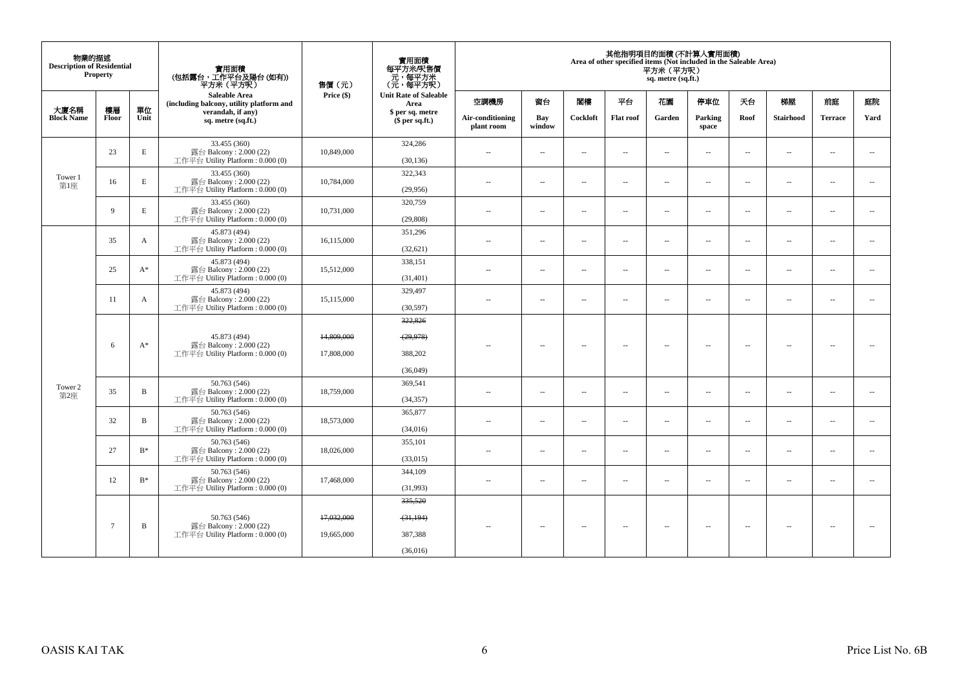| 物業的描述<br><b>Description of Residential</b> | Property        |                | 實用面積<br>(包括露台,工作平台及陽台 (如有))<br>平方米(平方呎)                                      | 售價(元)                    | 實用面積<br>每平方米/呎售價<br>元,每平方米<br>(元,每平方呎)      |                                |                          |          |                          | 平方米 (平方呎)<br>sq. metre (sq.ft.) | 其他指明項目的面積(不計算入實用面積)<br>Area of other specified items (Not included in the Saleable Area) |                          |                          |                          |                          |
|--------------------------------------------|-----------------|----------------|------------------------------------------------------------------------------|--------------------------|---------------------------------------------|--------------------------------|--------------------------|----------|--------------------------|---------------------------------|------------------------------------------------------------------------------------------|--------------------------|--------------------------|--------------------------|--------------------------|
|                                            |                 |                | Saleable Area<br>(including balcony, utility platform and                    | Price (\$)               | <b>Unit Rate of Saleable</b><br>Area        | 空調機房                           | 窗台                       | 閣樓       | 平台                       | 花園                              | 停車位                                                                                      | 天台                       | 梯屋                       | 前庭                       | 庭院                       |
| 大廈名稱<br><b>Block Name</b>                  | 樓層<br>Floor     | 單位<br>Unit     | verandah, if any)<br>sq. metre (sq.ft.)                                      |                          | \$ per sq. metre<br>\$per sq.ft.)           | Air-conditioning<br>plant room | Bay<br>window            | Cockloft | <b>Flat roof</b>         | Garden                          | Parking<br>space                                                                         | Roof                     | <b>Stairhood</b>         | <b>Terrace</b>           | Yard                     |
|                                            | 23              | E              | 33.455 (360)<br>露台 Balcony: 2.000 (22)<br>工作平台 Utility Platform : $0.000(0)$ | 10,849,000               | 324,286<br>(30, 136)                        | $\overline{a}$                 | $\sim$                   | $\sim$   | $\sim$                   | μ.                              | $\sim$                                                                                   | $\overline{\phantom{a}}$ | $\overline{\phantom{a}}$ | $\sim$                   | $\overline{\phantom{a}}$ |
| Tower 1<br>第1座                             | 16              | E              | 33.455 (360)<br>露台 Balcony: 2.000 (22)<br>工作平台 Utility Platform : $0.000(0)$ | 10,784,000               | 322,343<br>(29,956)                         | $\sim$ $\sim$                  | $\sim$                   | $\sim$   | $\sim$                   | $\sim$                          | $\sim$                                                                                   | $\overline{\phantom{a}}$ | $\sim$                   | $\sim$                   | $\overline{\phantom{a}}$ |
|                                            | 9               | E              | 33.455 (360)<br>露台 Balcony: 2.000 (22)<br>工作平台 Utility Platform: 0.000 (0)   | 10,731,000               | 320,759<br>(29, 808)                        | $\sim$                         | $\sim$                   | $\sim$   | $\sim$                   | $\sim$                          | $\sim$                                                                                   | $\overline{\phantom{a}}$ | $\overline{\phantom{a}}$ | $\sim$                   | $\overline{\phantom{a}}$ |
|                                            | 35              | A              | 45.873 (494)<br>露台 Balcony: 2.000 (22)<br>工作平台 Utility Platform: 0.000 (0)   | 16,115,000               | 351,296<br>(32, 621)                        | $\sim$                         | $\sim$                   | $\sim$   | $\sim$                   | $\sim$                          | $\sim$                                                                                   | $\sim$                   | $\sim$                   | $\sim$                   | $\sim$                   |
|                                            | 25              | $A^*$          | 45.873 (494)<br>露台 Balcony: 2.000 (22)<br>工作平台 Utility Platform : $0.000(0)$ | 15,512,000               | 338,151<br>(31, 401)                        | $\sim$                         | $\overline{a}$           | $\sim$   | $\sim$                   | $\overline{a}$                  | $\sim$                                                                                   | $\overline{\phantom{a}}$ | $\overline{a}$           | $\sim$                   | $\sim$                   |
|                                            | 11              | A              | 45.873 (494)<br>露台 Balcony: 2.000 (22)<br>工作平台 Utility Platform : $0.000(0)$ | 15,115,000               | 329,497<br>(30,597)                         | $\sim$ $-$                     | $\sim$                   | $\sim$   | $\overline{\phantom{a}}$ | μ.                              | $\overline{\phantom{a}}$                                                                 | $\overline{\phantom{a}}$ | $\overline{\phantom{a}}$ | $\overline{\phantom{a}}$ | $\overline{\phantom{a}}$ |
|                                            | 6               | $A^*$          | 45.873 (494)<br>露台 Balcony: 2.000 (22)<br>工作平台 Utility Platform : $0.000(0)$ | 14,809,000<br>17,808,000 | 322,826<br>(29, 978)<br>388,202<br>(36,049) | $-$                            | $\sim$                   | $\sim$   | $\sim$                   | $\sim$                          | $\sim$                                                                                   | $\sim$                   | $\sim$                   | $\overline{\phantom{a}}$ |                          |
| Tower 2<br>第2座                             | 35              | $\overline{B}$ | 50.763 (546)<br>露台 Balcony: 2.000 (22)<br>工作平台 Utility Platform : $0.000(0)$ | 18,759,000               | 369,541<br>(34, 357)                        | $\sim$                         | $\overline{a}$           | $\sim$   | $\sim$                   | $\overline{a}$                  | $\sim$                                                                                   | $\overline{\phantom{a}}$ | $\overline{a}$           | $\sim$                   | $\overline{\phantom{a}}$ |
|                                            | 32              | $\bf{B}$       | 50.763 (546)<br>露台 Balcony: 2.000 (22)<br>工作平台 Utility Platform: 0.000 (0)   | 18,573,000               | 365,877<br>(34,016)                         | $\sim$                         | $\overline{\phantom{a}}$ | $\sim$   | $\overline{\phantom{a}}$ | $\overline{\phantom{a}}$        | $\sim$                                                                                   | $\overline{\phantom{a}}$ | $\overline{a}$           | $\sim$                   | $\overline{\phantom{a}}$ |
|                                            | 27              | $B^*$          | 50.763 (546)<br>露台 Balcony: 2.000 (22)<br>工作平台 Utility Platform : $0.000(0)$ | 18,026,000               | 355,101<br>(33,015)                         | $\sim$                         | $\sim$                   | $\sim$   | $\sim$                   | $\sim$                          | $\sim$                                                                                   | $\overline{\phantom{a}}$ | $\sim$                   | $\sim$                   | $\sim$                   |
|                                            | 12              | $B^*$          | 50.763 (546)<br>露台 Balcony: 2.000 (22)<br>工作平台 Utility Platform: 0.000 (0)   | 17,468,000               | 344,109<br>(31,993)                         | $\sim$ $\sim$                  | $\overline{\phantom{a}}$ | $\sim$   | $\overline{\phantom{a}}$ | $\overline{\phantom{a}}$        | $\sim$                                                                                   | $\overline{\phantom{a}}$ | $\overline{\phantom{a}}$ | $\sim$                   | $\overline{\phantom{a}}$ |
|                                            | $7\phantom{.0}$ | B              | 50.763 (546)<br>露台 Balcony: 2.000 (22)<br>工作平台 Utility Platform : $0.000(0)$ | 17,032,000<br>19,665,000 | 335,520<br>(31, 194)<br>387,388<br>(36,016) | $\sim$ $-$                     | $\overline{\phantom{a}}$ | $\sim$   | $\overline{\phantom{a}}$ | $\overline{\phantom{a}}$        | $\sim$                                                                                   | $\hspace{0.05cm} -$      | $\overline{\phantom{a}}$ | $\overline{\phantom{a}}$ | $\sim$                   |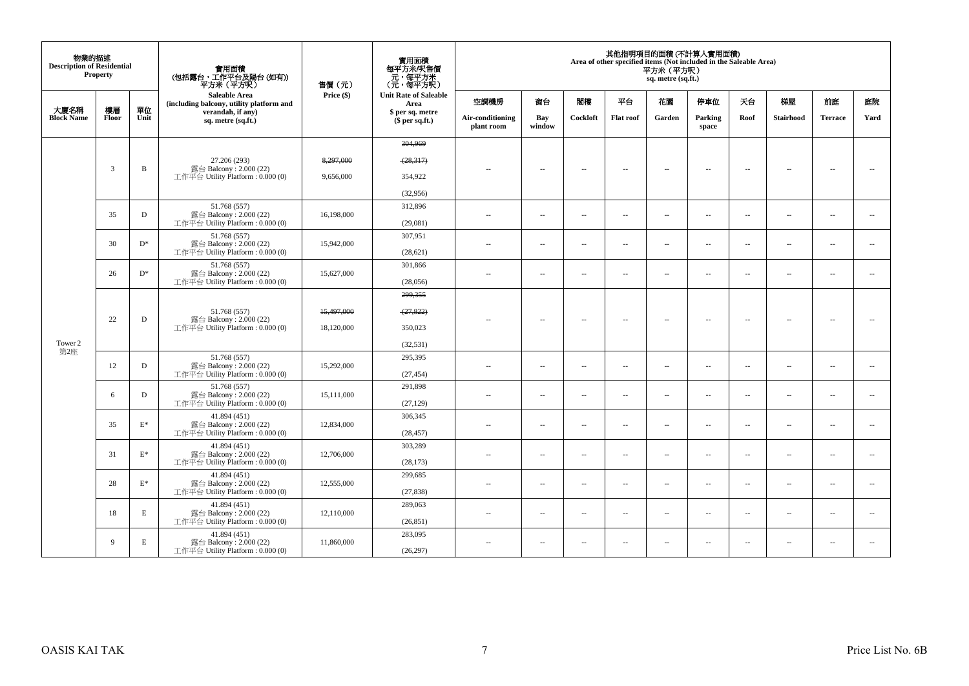| 物業的描述<br><b>Description of Residential</b> | <b>Property</b> |                 | 實用面積<br>(包括露台,工作平台及陽台 (如有))<br>平方米(平方呎)                                      | 售價(元)                  | 實用面積<br>每平方米/呎售價<br>元,每平方米<br>(元,每平方呎) |                                |                          |                          |                          | 平方米 (平方呎)<br>sq. metre (sq.ft.) | 其他指明項目的面積 (不計算入實用面積)<br>Area of other specified items (Not included in the Saleable Area) |                          |                          |                          |        |
|--------------------------------------------|-----------------|-----------------|------------------------------------------------------------------------------|------------------------|----------------------------------------|--------------------------------|--------------------------|--------------------------|--------------------------|---------------------------------|-------------------------------------------------------------------------------------------|--------------------------|--------------------------|--------------------------|--------|
|                                            |                 |                 | <b>Saleable Area</b><br>(including balcony, utility platform and             | Price (\$)             | <b>Unit Rate of Saleable</b><br>Area   | 空調機房                           | 窗台                       | 閣樓                       | 平台                       | 花園                              | 停車位                                                                                       | 天台                       | 梯屋                       | 前庭                       | 庭院     |
| 大廈名稱<br><b>Block Name</b>                  | 樓層<br>Floor     | 單位<br>Unit      | verandah, if any)<br>sq. metre (sq.ft.)                                      |                        | \$ per sq. metre<br>\$per sq.ft.)      | Air-conditioning<br>plant room | Bay<br>window            | Cockloft                 | <b>Flat roof</b>         | Garden                          | Parking<br>space                                                                          | Roof                     | <b>Stairhood</b>         | <b>Terrace</b>           | Yard   |
|                                            |                 |                 |                                                                              |                        | 304,969                                |                                |                          |                          |                          |                                 |                                                                                           |                          |                          |                          |        |
|                                            | 3               | $\, {\bf B}$    | 27.206 (293)<br>露台 Balcony: 2.000 (22)<br>工作平台 Utility Platform : 0.000 (0)  | 8,297,000<br>9,656,000 | (28,317)<br>354,922                    | ц,                             | μ.                       | ٠.                       | $\bar{a}$                | $\sim$                          | $\sim$                                                                                    | $\sim$                   | $\sim$                   | ٠.                       |        |
|                                            |                 |                 |                                                                              |                        |                                        |                                |                          |                          |                          |                                 |                                                                                           |                          |                          |                          |        |
|                                            |                 |                 | 51.768 (557)                                                                 |                        | (32,956)<br>312,896                    |                                |                          |                          |                          |                                 |                                                                                           |                          |                          |                          |        |
|                                            | 35              | D               | 露台 Balcony: 2.000 (22)<br>工作平台 Utility Platform : $0.000(0)$                 | 16,198,000             | (29,081)                               | $-$                            | $\sim$                   | $\sim$                   | $\sim$                   | $\overline{a}$                  | $\sim$                                                                                    | $\sim$                   | $\sim$                   | $\sim$                   |        |
|                                            |                 |                 | 51.768 (557)                                                                 |                        | 307,951                                |                                |                          |                          |                          |                                 |                                                                                           |                          |                          |                          |        |
|                                            | 30              | $D^*$           | 露台 Balcony: $2.000(22)$<br>工作平台 Utility Platform : $0.000(0)$                | 15,942,000             | (28, 621)                              | $\overline{\phantom{a}}$       | $\overline{a}$           | $\sim$                   | $\overline{\phantom{a}}$ | $\overline{\phantom{a}}$        | $\sim$                                                                                    | $\sim$                   | $\overline{\phantom{a}}$ | $\sim$                   |        |
|                                            | 26              | $D^*$           | 51.768 (557)<br>露台 Balcony: 2.000 (22)                                       | 15,627,000             | 301.866                                | $\sim$ $\sim$                  | $\overline{\phantom{a}}$ | $\sim$                   | $\overline{\phantom{a}}$ | $\overline{\phantom{a}}$        | $\sim$                                                                                    | $\overline{\phantom{a}}$ | $\overline{\phantom{a}}$ | $\sim$                   | $\sim$ |
|                                            |                 |                 | 工作平台 Utility Platform: 0.000 (0)                                             |                        | (28,056)                               |                                |                          |                          |                          |                                 |                                                                                           |                          |                          |                          |        |
|                                            |                 |                 |                                                                              |                        | 299,355                                |                                |                          |                          |                          |                                 |                                                                                           |                          |                          |                          |        |
|                                            | 22              | $\mathbf D$     | 51.768 (557)<br>露台 Balcony: 2.000 (22)                                       | 15,497,000             | (27, 822)                              |                                | $\overline{a}$           | $\sim$                   | $\overline{\phantom{a}}$ | $\overline{\phantom{a}}$        | $\sim$                                                                                    | $\sim$                   | $\sim$                   | $\sim$                   |        |
|                                            |                 |                 | 工作平台 Utility Platform : $0.000(0)$                                           | 18,120,000             | 350,023                                |                                |                          |                          |                          |                                 |                                                                                           |                          |                          |                          |        |
| Tower 2<br>第2座                             |                 |                 |                                                                              |                        | (32, 531)                              |                                |                          |                          |                          |                                 |                                                                                           |                          |                          |                          |        |
|                                            | 12              | D               | 51.768 (557)<br>露台 Balcony: 2.000 (22)<br>工作平台 Utility Platform: 0.000 (0)   | 15.292,000             | 295,395<br>(27, 454)                   | $\sim$                         | $\ddot{\phantom{a}}$     | $\sim$                   | $\sim$                   | $\overline{\phantom{a}}$        | $\sim$                                                                                    | $\sim$                   | $\overline{\phantom{a}}$ | $\sim$                   |        |
|                                            |                 |                 | 51.768 (557)                                                                 |                        | 291,898                                |                                |                          |                          |                          |                                 |                                                                                           |                          |                          |                          |        |
|                                            | 6               | D               | 露台 Balcony: 2.000 (22)<br>工作平台 Utility Platform : $0.000(0)$                 | 15,111,000             | (27, 129)                              | $\sim$                         | $\overline{a}$           | $\sim$                   | $\sim$                   | $\overline{a}$                  | $\sim$                                                                                    | $\sim$                   | $\sim$                   | $\sim$                   |        |
|                                            | 35              | $\mathcal{E}^*$ | 41.894 (451)<br>露台 Balcony: 2.000 (22)                                       | 12,834,000             | 306,345                                | $\sim$ $\sim$                  |                          | $\overline{\phantom{a}}$ | $\overline{\phantom{a}}$ |                                 | $\overline{\phantom{a}}$                                                                  |                          | $\overline{\phantom{a}}$ | $\sim$                   | $\sim$ |
|                                            |                 |                 | 工作平台 Utility Platform : $0.000(0)$                                           |                        | (28, 457)                              |                                | $\overline{\phantom{a}}$ |                          |                          | $\overline{\phantom{a}}$        |                                                                                           | $\overline{\phantom{a}}$ |                          |                          |        |
|                                            | 31              | $\mathbf{E}^*$  | 41.894 (451)<br>露台 Balcony: 2.000 (22)                                       | 12,706,000             | 303,289                                | $\sim$                         | $\sim$                   | $\sim$                   | $\sim$                   | $\sim$                          | $\sim$                                                                                    | $\sim$                   | $\sim$                   | $\sim$                   |        |
|                                            |                 |                 | 工作平台 Utility Platform: 0.000 (0)                                             |                        | (28, 173)                              |                                |                          |                          |                          |                                 |                                                                                           |                          |                          |                          |        |
|                                            | 28              | $\mathcal{E}^*$ | 41.894 (451)<br>露台 Balcony: 2.000 (22)<br>工作平台 Utility Platform : $0.000(0)$ | 12,555,000             | 299,685<br>(27, 838)                   | ٠.                             | $\overline{\phantom{a}}$ | $\overline{\phantom{a}}$ | $\overline{\phantom{a}}$ | $\overline{\phantom{a}}$        | $\overline{\phantom{a}}$                                                                  | $\overline{\phantom{a}}$ | $\overline{\phantom{a}}$ | $\overline{\phantom{a}}$ | $\sim$ |
|                                            |                 |                 | 41.894 (451)                                                                 |                        | 289,063                                |                                |                          |                          |                          |                                 |                                                                                           |                          |                          |                          |        |
|                                            | 18              | E               | 露台 Balcony: 2.000 (22)<br>工作平台 Utility Platform : $0.000(0)$                 | 12,110,000             | (26, 851)                              | $\sim$                         | $\overline{\phantom{a}}$ | $\sim$                   | $\overline{\phantom{a}}$ | $\overline{\phantom{a}}$        | $\sim$                                                                                    | $\overline{\phantom{a}}$ | $\overline{\phantom{a}}$ | $\sim$                   |        |
|                                            |                 |                 | 41.894 (451)                                                                 |                        | 283,095                                |                                |                          |                          |                          |                                 |                                                                                           |                          |                          |                          |        |
|                                            | 9               | E               | 露台 Balcony: 2.000 (22)<br>工作平台 Utility Platform : $0.000(0)$                 | 11,860,000             | (26, 297)                              | $\sim$                         | $\overline{\phantom{a}}$ | $\overline{\phantom{a}}$ | $\overline{\phantom{a}}$ | $\overline{\phantom{a}}$        | $\overline{\phantom{a}}$                                                                  | $\sim$                   | $\overline{\phantom{a}}$ | $\overline{\phantom{a}}$ |        |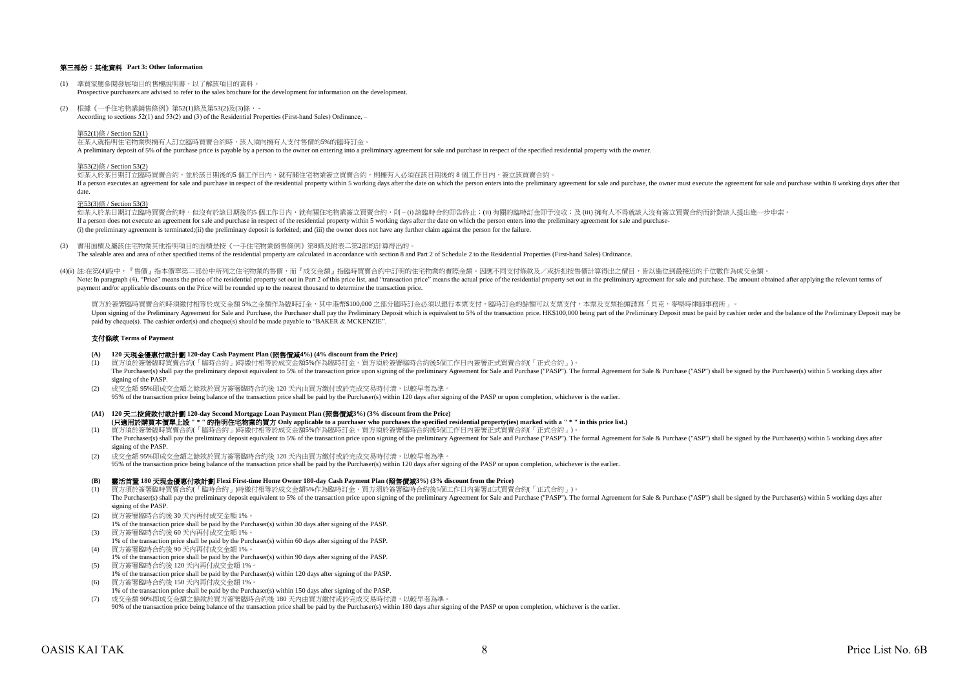## 第三部份:其他資料 **Part 3: Other Information**

- (1) 準買家應參閱發展項目的售樓說明書,以了解該項目的資料。 Prospective purchasers are advised to refer to the sales brochure for the development for information on the development.
- (2) 根據《一手住宅物業銷售條例》第52(1)條及第53(2)及(3)條, According to sections 52(1) and 53(2) and (3) of the Residential Properties (First-hand Sales) Ordinance, –

第52(1)條 / Section 52(1)

在某人就指明住宅物業與擁有人訂立臨時買賣合約時,該人須向擁有人支付售價的5%的臨時訂金。 A preliminary deposit of 5% of the purchase price is payable by a person to the owner on entering into a preliminary agreement for sale and purchase in respect of the specified residential property with the owner.

#### 第53(2)條 / Section 53(2)

如某人於某日期訂立臨時買賣合約,並於該日期後的5 個工作日內,就有關住宅物業簽立買賣合約,則擁有人必須在該日期後的 8 個工作日内,簽立該買賣合約。 If a person executes an agreement for sale and purchase in respect of the residential property within 5 working days after the date on which the person enters into the preliminary agreement for sale and purchase, the owner date.

#### 第53(3)條 / Section 53(3)

如某人於某日期訂立臨時買賣合約時,但沒有於該日期後的5 個工作日內,就有關住宅物業簽立買賣合約,則 – (i) 該臨時合約即告終止;(ii) 有關的臨時訂金即予沒收;及 (iii) 擁有人不得就該人沒有簽立買賣合約而針對該人提出進一步申索。 If a person does not execute an agreement for sale and purchase in respect of the residential property within 5 working days after the date on which the person enters into the preliminary agreement for sale and purchase-(i) the preliminary agreement is terminated;(ii) the preliminary deposit is forfeited; and (iii) the owner does not have any further claim against the person for the failure.

(3) 實用面積及屬該住宅物業其他指明項目的面積是按《一手住宅物業銷售條例》第8條及附表二第2部的計算得出的。

The saleable area and area of other specified items of the residential property are calculated in accordance with section 8 and Part 2 of Schedule 2 to the Residential Properties (First-hand Sales) Ordinance.

(4)(i) 註:在第(4)段中,『售價』指本價單第二部份中所列之住宅物業的售價,而『成交金額』指臨時買賣合約中訂明的住宅物業的實際金額。因應不同支付條款及/或折扣按售價計算得出之價目,皆以進位到最接近的千位數作為成交金額。 Note In paragraph (4) "Price" means the precidential price of the residential price of the residential price is and "transaction price" means the actual price is and "transaction price" means the actual price is and "trans payment and/or applicable discounts on the Price will be rounded up to the nearest thousand to determine the transaction price.

買方於簽署臨時買賣合約時須繳付相等於成交金額 5%之金額作為臨時訂金,其中港幣\$100,000 之部分臨時訂金必須以銀行本票支付,臨時訂金的餘額可以支票支付,本票及支票抬頭請寫「貝克.麥堅時律師事務所」。 Upon signing of the Preliminary Agreement for Sale and Purchase, the Purchaser shall pay the Preliminary Deposit which is equivalent to 5% of the transaction price. HK\$100,000 being part of the Prelimiary Deposit must be p paid by cheque(s). The cashier order(s) and cheque(s) should be made payable to "BAKER & MCKENZIE".

#### 支付條款 **Terms of Payment**

- **(A) 120** 天現金優惠付款計劃 **120-day Cash Payment Plan (**照售價減**4%) (4% discount from the Price)**
- (1) 買方須於簽署臨時買賣合約(「臨時合約」)時繳付相等於成交金額5%作為臨時訂金。買方須於簽署臨時合約後5個工作日內簽署正式買賣合約(「正式合約」)。 The Purchaser(s) shall pay the preliminary deposit equivalent to 5% of the transaction price upon signing of the preliminary Agreement for Sale and Purchase ("PASP"). The formal Agreement for Sale & Purchase ("ASP") shall signing of the PASP.
- (2) 成交金額 95%即成交金額之餘款於買方簽署臨時合約後 120 天內由買方繳付或於完成交易時付清,以較早者為準。 95% of the transaction price being balance of the transaction price shall be paid by the Purchaser(s) within 120 days after signing of the PASP or upon completion, whichever is the earlier.
- **(A1) 120** 天二按貸款付款計劃 **120-day Second Mortgage Loan Payment Plan (**照售價減**3%) (3% discount from the Price)** (1) 買方須於簽署臨時買賣合約(「臨時合約」)時繳付相等於成交金額5%作為臨時訂金。買方須於簽署臨時合約後5個工作日內簽署正式買賣合約(「正式合約」)。 **(**只適用於購買本價單上設 **" \* "** 的指明住宅物業的買方 **Only applicable to a purchaser who purchases the specified residential property(ies) marked with a " \* " in this price list.)**
- The Purchaser(s) shall pay the preliminary deposit equivalent to 5% of the transaction price upon signing of the preliminary Agreement for Sale and Purchase ("PASP"). The formal Agreement for Sale & Purchase ("ASP") shall signing of the PASP.
- (2) 成交金額 95%即成交金額之餘款於買方簽署臨時合約後 120 天內由買方繳付或於完成交易時付清,以較早者為準。 95% of the transaction price being balance of the transaction price shall be paid by the Purchaser(s) within 120 days after signing of the PASP or upon completion, whichever is the earlier.

#### **(B)** 靈活首置 **180** 天現金優惠付款計劃 **Flexi First-time Home Owner 180-day Cash Payment Plan (**照售價減**3%) (3% discount from the Price)**

- (1) 買方須於簽署臨時買賣合約(「臨時合約」)時繳付相等於成交金額5%作為臨時訂金。買方須於簽署臨時合約後5個工作日內簽署正式買賣合約(「正式合約」)。 The Purchaser(s) shall pay the preliminary deposit equivalent to 5% of the transaction price upon signing of the preliminary Agreement for Sale and Purchase ("PASP"). The formal Agreement for Sale & Purchase ("ASP") shall signing of the PASP.
- (2) 買方簽署臨時合約後 30 天內再付成交金額 1%。
- 1% of the transaction price shall be paid by the Purchaser(s) within 30 days after signing of the PASP.
- (3) 買方簽署臨時合約後 60 天內再付成交金額 1%。
- 1% of the transaction price shall be paid by the Purchaser(s) within 60 days after signing of the PASP.
- (4) 買方簽署臨時合約後 90 天內再付成交金額 1%。
- 1% of the transaction price shall be paid by the Purchaser(s) within 90 days after signing of the PASP. (5) 買方簽署臨時合約後 120 天內再付成交金額 1%。
- 1% of the transaction price shall be paid by the Purchaser(s) within 120 days after signing of the PASP. (6) 買方簽署臨時合約後 150 天內再付成交金額 1%。
- 1% of the transaction price shall be paid by the Purchaser(s) within 150 days after signing of the PASP.
- (7) 成交金額 90%即成交金額之餘款於買方簽署臨時合約後 180 天內由買方繳付或於完成交易時付清,以較早者為準。
- 90% of the transaction price being balance of the transaction price shall be paid by the Purchaser(s) within 180 days after signing of the PASP or upon completion, whichever is the earlier.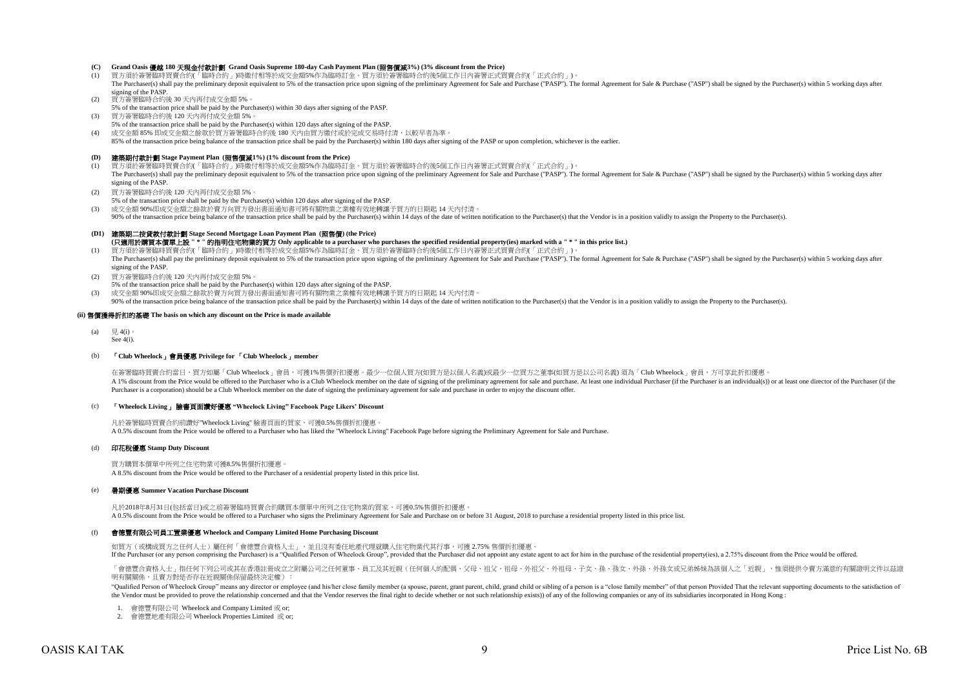# **(C) Grand Oasis** 優越 **180** 天現金付款計劃 **Grand Oasis Supreme 180-day Cash Payment Plan (**照售價減**3%) (3% discount from the Price)**

- 買方須於簽署臨時買賣合約(「臨時合約」)時繳付相等於成交金額5%作為臨時訂金。買方須於簽署臨時合約後5個工作日内簽署正式買賣合約(「正式合約」)。 The Purchaser(s) shall pay the preliminary deposit equivalent to 5% of the transaction price upon signing of the preliminary Agreement for Sale and Purchase ("PASP"). The formal Agreement for Sale & Purchase ("ASP") shall signing of the PASP.
- (2) 買方簽署臨時合約後 30 天內再付成交金額 5%。
- 5% of the transaction price shall be paid by the Purchaser(s) within 30 days after signing of the PASP.
- (3) 買方簽署臨時合約後 120 天內再付成交金額 5%。 5% of the transaction price shall be paid by the Purchaser(s) within 120 days after signing of the PASP.
- (4) 成交金額 85% 即成交金額之餘款於買方簽署臨時合約後 180 天內由買方繳付或於完成交易時付清,以較早者為準。
- 85% of the transaction price being balance of the transaction price shall be paid by the Purchaser(s) within 180 days after signing of the PASP or upon completion, whichever is the earlier.

#### **(D)** 建築期付款計劃 **Stage Payment Plan (**照售價減**1%) (1% discount from the Price)**

- (1) 買方須於簽署臨時買賣合約(「臨時合約」)時繳付相等於成交金額5%作為臨時訂金。買方須於簽署臨時合約後5個工作日內簽署正式買賣合約(「正式合約」)。 The Purchaser(s) shall pay the preliminary deposit equivalent to 5% of the transaction price upon signing of the preliminary Agreement for Sale and Purchase ("PASP"). The formal Agreement for Sale & Purchase ("ASP") shall signing of the PASP.
- (2) 買方簽署臨時合約後 120 天內再付成交金額 5%。
- 5% of the transaction price shall be paid by the Purchaser(s) within 120 days after signing of the PASP.
- (3) 成交金額 90%即成交金額之餘款於賣方向買方發出書面通知書可將有關物業之業權有效地轉讓予買方的日期起 14 天內付清。
- 90% of the transaction price being balance of the transaction price shall be paid by the Purchaser(s) within 14 days of the date of written notification to the Purchaser(s) that the Vendor is in a position validly to assig

#### **(D1)** 建築期二按貸款付款計劃 **Stage Second Mortgage Loan Payment Plan (**照售價**) (the Price) (**只適用於購買本價單上設 **" \* "** 的指明住宅物業的買方 **Only applicable to a purchaser who purchases the specified residential property(ies) marked with a " \* " in this price list.)**

- (1) 買方須於簽署臨時買賣合約(「臨時合約」)時繳付相等於成交金額5%作為臨時訂金。買方須於簽署臨時合約後5個工作日內簽署正式買賣合約(「正式合約」)。 The Purchaser(s) shall pay the preliminary deposit equivalent to 5% of the transaction price upon signing of the preliminary Agreement for Sale and Purchase ("PASP"). The formal Agreement for Sale & Purchase ("ASP") shall signing of the PASP.
- (2) 買方簽署臨時合約後 120 天內再付成交金額 5%。
- 5% of the transaction price shall be paid by the Purchaser(s) within 120 days after signing of the PASP.
- (3) 成交金額 90%即成交金額之餘款於賣方向買方發出書面通知書可將有關物業之業權有效地轉讓予買方的日期起 14 天內付清。

90% of the transaction price being balance of the transaction price shall be paid by the Purchaser(s) within 14 days of the date of written notification to the Purchaser(s) that the Vendor is in a position validly to assig

#### **(ii)** 售價獲得折扣的基礎 **The basis on which any discount on the Price is made available**

- (a)  $\boxplus$  4(i)
- See 4(i).

#### (b) 「**Club Wheelock**」會員優惠 **Privilege for** 「**Club Wheelock**」**member**

在簽署臨時買賣合約當日,買方如屬「Club Wheelock」會員,可獲1%售價折扣優惠。最少一位個人買方(如買方是以個人名義)或最少一位買方之董事(如買方是以公司名義) 須為「Club Wheelock」會員,方可享此折扣優惠 A 1% discount from the Price would be offered to the Purchaser who is a Club Wheelock member on the date of signing of the preliminary agreement for sale and purchase. At least one individual Purchaser (if the Purchaser is Purchaser is a corporation) should be a Club Wheelock member on the date of signing the preliminary agreement for sale and purchase in order to enjoy the discount offer.

#### (c) 「**Wheelock Living**」 臉書頁面讚好優惠 **"Wheelock Living" Facebook Page Likers' Discount**

凡於簽署臨時買賣合約前讚好"Wheelock Living" 臉書頁面的買家,可獲0.5%售價折扣優惠。 A 0.5% discount from the Price would be offered to a Purchaser who has liked the "Wheelock Living" Facebook Page before signing the Preliminary Agreement for Sale and Purchase.

#### (d) 印花稅優惠 **Stamp Duty Discount**

買方購買本價單中所列之住宅物業可獲8.5%售價折扣優惠。 A 8.5% discount from the Price would be offered to the Purchaser of a residential property listed in this price list.

#### (e) 暑期優惠 **Summer Vacation Purchase Discount**

凡於2018年8月31日(包括當日)或之前簽署臨時買賣合約購買本價單中所列之住宅物業的買家,可獲0.5%售價折扣優惠。 A 0.5% discount from the Price would be offered to a Purchaser who signs the Preliminary Agreement for Sale and Purchase on or before 31 August, 2018 to purchase a residential property listed in this price list.

#### $(f)$ 會德豐有限公司員工置業優惠 **Wheelock and Company Limited Home Purchasing Discount**

如買方(或構成買方之任何人士)屬任何「會德豐合資格人士」,並且沒有委任地產代理就購入住宅物業代其行事,可獲 2.75% 售價折扣優惠。 If the Purchaser (or any person comprising the Purchaser) is a "Qualified Person of Wheelock Group", provided that the Purchaser did not appoint any estate agent to act for him in the purchase of the residential property(i

「會德豐合資格人士」指任何下列公司或其在香港註冊成立之附屬公司之任何董事、員工及其近親(任何個人的配偶、父母、祖父、祖母、外祖父、外祖母、子女、孫、孫女、外孫、外孫女或兄弟姊妹為該個人之「近親」,惟須提供令賣方滿意的有關證明文件以茲證 明有關關係,且賣方對是否存在近親關係保留最終決定權):

"Oualified Person of Wheelock Group" means any director or employee (and his/her close family member (a spouse, parent, grant parent, child, grand child or sibling of a person is a "close family member" of that person Froy the Vendor must be provided to prove the relationship concerned and that the Vendor reserves the final right to decide whether or not such relationship exists)) of any of the following companies or any of its subsidiaries

- 1. 會德豐有限公司 Wheelock and Company Limited 或 or;
- 2. 會德豐地產有限公司 Wheelock Properties Limited 或 or;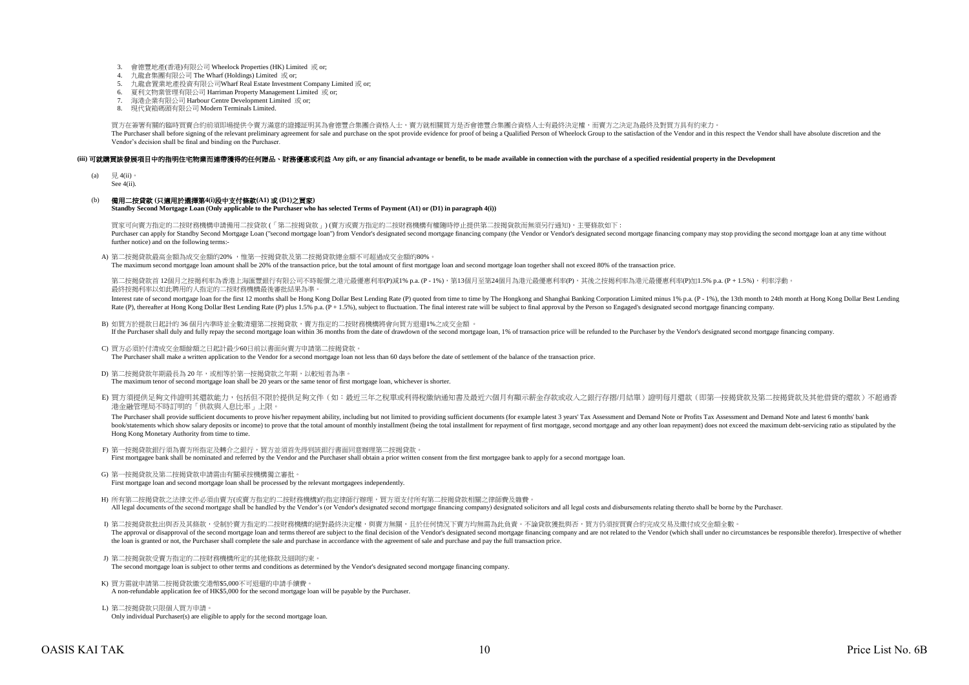- 3. 會德豐地產(香港)有限公司 Wheelock Properties (HK) Limited 或 or;
- 4. 九龍倉集團有限公司 The Wharf (Holdings) Limited 或 or;
- 5. 九龍倉置業地產投資有限公司Wharf Real Estate Investment Company Limited 或 or;
- 6. 夏利文物業管理有限公司 Harriman Property Management Limited 或 or;
- 7. 海港企業有限公司 Harbour Centre Development Limited 或 or;
- 8. 現代貨箱碼頭有限公司 Modern Terminals Limited.

買方在簽署有關的臨時買賣合約前須即場提供令賣方滿意的證據証明其為會德豐合集團合資格人士,賣方就相關買方是否會德豐合集團合資格人士有最終決定權,而賣方之決定為最終及對買方具有約束力。 The Purchaser shall before signing of the relevant preliminary agreement for sale and purchase on the spot provide evidence for proof of being a Qualified Person of Wheelock Group to the satisfaction of the Vendor and in t Vendor's decision shall be final and binding on the Purchaser.

### (iii) 可就識買該發展項目中的指明住宅物業而連帶獲得的任何贈品、財務優惠或利益 Any gift, or any financial advantage or benefit, to be made available in connection with the purchase of a specified residential property in the Development

- (a)  $\quad \nexists. 4(ii)$ 。
- See 4(ii).

## (b) 備用二按貸款 **(**只適用於選擇第**4(i)**段中支付條款**(A1)** 或 **(D1)**之買家**)**

**Standby Second Mortgage Loan (Only applicable to the Purchaser who has selected Terms of Payment (A1) or (D1) in paragraph 4(i))**

買家可向賣方指定的二按財務機構申請備用二按貸款 (「第二按揭貨款」) (賣方或賣方指定的二按財務機構有權隨時停止提供第二按揭貨款而無須另行通知),主要條款如下 : Purchaser can apply for Standby Second Mottgage Loan ("second mottgage loan") from Vendor's designated second mottgage financing company (the Vendor or Vendor's designated second mortgage francing company may stop providin further notice) and on the following terms:-

A) 第二按揭貸款最高金額為成交金額的20% ,惟第一按揭貸款及第二按揭貸款總金額不可超過成交金額的80%。

The maximum second mortgage loan amount shall be 20% of the transaction price, but the total amount of first mortgage loan and second mortgage loan together shall not exceed 80% of the transaction price.

第二按揭貸款首 12個月之按揭利率為香港上海匯豐銀行有限公司不時報價之港元最優惠利率(P)減1% p.a. (P - 1%),第13個月至第24個月為港元最優惠利率(P),其後之按揭利率為港元最優惠利率(P)加1.5% p.a. (P + 1.5%),利率浮動。 最終按揭利率以如此聘用的人指定的二按財務機構最後審批結果為準。

Interest rate of second mortgage loan for the first 12 months shall be Hong Kong Dollar Best Lending Rate (P) quoted from time to time by The Hongkong and Shanghai Banking Corporation Limited minus 1% p.a. (P - 1%), the 13 Rate (P), thereafter at Hong Kong Dollar Best Lending Rate (P) plus 1.5% p.a.  $(P + 1.5\%)$ , subject to fluctuation. The final interest rate will be subject to final approval by the Person so Engaged's designated second mort

- B) 如買方於提款日起計的 36 個月內準時並全數清還第二按揭貸款,賣方指定的二按財務機構將會向買方退還1%之成交金額 。 If the Purchaser shall duly and fully repay the second mortgage loan within 36 months from the date of drawdown of the second mortgage loan, 1% of transaction price will be refunded to the Purchaser by the Vendor's designa
- C) 買方必須於付清成交金額餘額之日起計最少60日前以書面向賣方申請第二按揭貸款。  $\sum_{i=1}^{n}$  Purchaser shall make a written application to the Vendor for a second mortgage loan not less than 60 days before the date of settlement of the balance of the transaction price.
- D) 第二按揭貸款年期最長為 20 年,或相等於第一按揭貸款之年期,以較短者為準。 The maximum tenor of second mortgage loan shall be 20 years or the same tenor of first mortgage loan, whichever is shorter.
- E) 買方須提供足夠文件證明其還款能力,包括但不限於提供足夠文件(如:最近三年之稅單或利得稅繳納通知書及最近六個月有顯示薪金存款或收入之銀行存摺/月結單)證明每月還款(即第一按揭貸款及第二按揭貸款及其他借貸的還款)不超過香 港金融管理局不時訂明的「供款與入息比率」上限。

The Purchaser shall provide sufficient documents to prove his/her repayment ability, including but not limited to providing sufficient documents (for example latest 3 years' Tax Assessment and Demand Note or Profits Tax As book/statements which show salary deposits or income) to prove that the total amount of monthly installment (being the total installment for repayment of first mortgage, second mortgage and any other loan repayment of does Hong Kong Monetary Authority from time to time.

- F) 第一按揭貸款銀行須為賣方所指定及轉介之銀行,買方並須首先得到該銀行書面同意辦理第二按揭貸款。 First mortgagee bank shall be nominated and referred by the Vendor and the Purchaser shall obtain a prior written consent from the first mortgagee bank to apply for a second mortgage loan.
- G) 第一按揭貸款及第二按揭貸款申請需由有關承按機構獨立審批。 First mortgage loan and second mortgage loan shall be processed by the relevant mortgagees independently.
- H) 所有第二按揭貸款之法律文件必須由賣方(或賣方指定的二按財務機構)的指定律師行辦理,買方須支付所有第二按揭貸款相關之律師費及雜費。 All legal documents of the second mortgage shall be handled by the Vendor's (or Vendor's designated second mortgage financing company) designated solicitors and all legal costs and disbursements relating thereto shall be b

I) 第二按揭貸款批出與否及其條款,受制於賣方指定的二按財務機構的絕對最終決定權,與賣方無關,且於任何情況下賣方均無需為此負責。不論貸款獲批與否,買方仍須按買賣合約完成交易及繳付成交金額全數。 The approval or disapproval of the second mortgage loan and terms thereof are subject to the final decision of the Vendor's designated second mortgage financing company and are not related to the Vendor (which shall under the loan is granted or not, the Purchaser shall complete the sale and purchase in accordance with the agreement of sale and purchase and pay the full transaction price.

- J) 第二按揭貨款受賣方指定的二按財務機構所定的其他條款及細則約束。 The second mortgage loan is subject to other terms and conditions as determined by the Vendor's designated second mortgage financing company.
- K) 買方需就申請第二按揭貸款繳交港幣\$5,000不可退還的申請手續費。 A non-refundable application fee of HK\$5,000 for the second mortgage loan will be payable by the Purchaser.
- L) 第二按揭貸款只限個人買方申請。 Only individual Purchaser(s) are eligible to apply for the second mortgage loan.